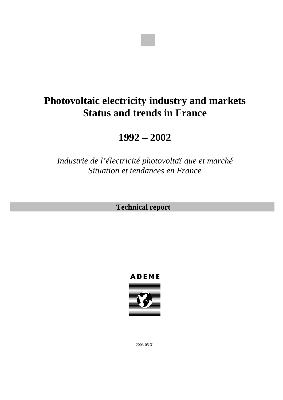

# **Photovoltaic electricity industry and markets Status and trends in France**

**1992 – 2002**

*Industrie de l'électricité photovoltaï que et marché Situation et tendances en France*

**Technical report**





2003-05-31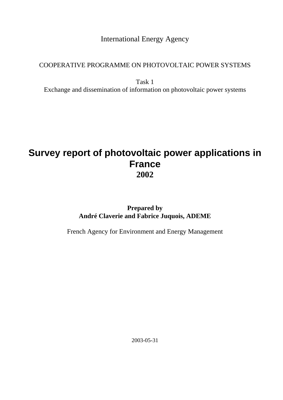International Energy Agency

### COOPERATIVE PROGRAMME ON PHOTOVOLTAIC POWER SYSTEMS

Task 1 Exchange and dissemination of information on photovoltaic power systems

## **Survey report of photovoltaic power applications in France 2002**

## **Prepared by André Claverie and Fabrice Juquois, ADEME**

French Agency for Environment and Energy Management

2003-05-31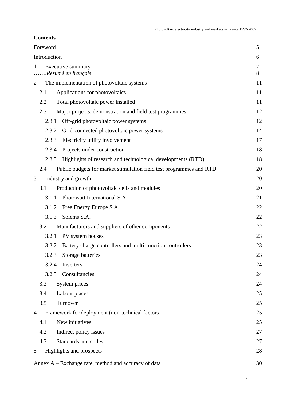#### **Contents**

| Foreword       |                                                                     | 5      |
|----------------|---------------------------------------------------------------------|--------|
| Introduction   |                                                                     | 6      |
| 1              | Executive summary                                                   | $\tau$ |
|                | Résumé en français                                                  | 8      |
| 2              | The implementation of photovoltaic systems                          | 11     |
| 2.1            | Applications for photovoltaics                                      | 11     |
| 2.2            | Total photovoltaic power installed                                  | 11     |
| 2.3            | Major projects, demonstration and field test programmes             | 12     |
| 2.3.1          | Off-grid photovoltaic power systems                                 | 12     |
| 2.3.2          | Grid-connected photovoltaic power systems                           | 14     |
| 2.3.3          | Electricity utility involvement                                     | 17     |
| 2.3.4          | Projects under construction                                         | 18     |
| 2.3.5          | Highlights of research and technological developments (RTD)         | 18     |
| 2.4            | Public budgets for market stimulation field test programmes and RTD | 20     |
| 3              | Industry and growth                                                 | 20     |
| 3.1            | Production of photovoltaic cells and modules                        | 20     |
| 3.1.1          | Photowatt International S.A.                                        | 21     |
| 3.1.2          | Free Energy Europe S.A.                                             | 22     |
| 3.1.3          | Solems S.A.                                                         | 22     |
| 3.2            | Manufacturers and suppliers of other components                     | 22     |
| 3.2.1          | PV system houses                                                    | 23     |
| 3.2.2          | Battery charge controllers and multi-function controllers           | 23     |
|                | 3.2.3 Storage batteries                                             | 23     |
| 3.2.4          | Inverters                                                           | 24     |
| 3.2.5          | Consultancies                                                       | 24     |
| 3.3            | System prices                                                       | 24     |
| 3.4            | Labour places                                                       | 25     |
| 3.5            | Turnover                                                            | 25     |
| $\overline{4}$ | Framework for deployment (non-technical factors)                    | 25     |
| 4.1            | New initiatives                                                     | 25     |
| 4.2            | Indirect policy issues                                              | 27     |
| 4.3            | Standards and codes                                                 | 27     |
| 5              | Highlights and prospects                                            | 28     |
|                |                                                                     |        |
|                | Annex A – Exchange rate, method and accuracy of data                | 30     |

3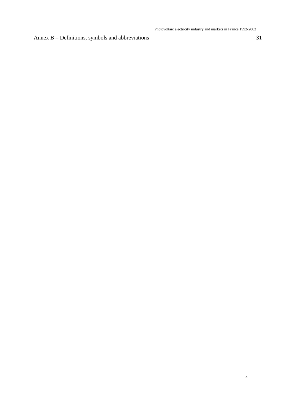Annex B – Definitions, symbols and abbreviations 31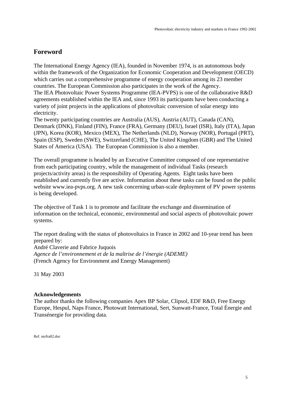#### **Foreword**

The International Energy Agency (IEA), founded in November 1974, is an autonomous body within the framework of the Organization for Economic Cooperation and Development (OECD) which carries out a comprehensive programme of energy cooperation among its 23 member countries. The European Commission also participates in the work of the Agency. The IEA Photovoltaic Power Systems Programme (IEA-PVPS) is one of the collaborative R&D agreements established within the IEA and, since 1993 its participants have been conducting a variety of joint projects in the applications of photovoltaic conversion of solar energy into electricity.

The twenty participating countries are Australia (AUS), Austria (AUT), Canada (CAN), Denmark (DNK), Finland (FIN), France (FRA), Germany (DEU), Israel (ISR), Italy (ITA), Japan (JPN), Korea (KOR), Mexico (MEX), The Netherlands (NLD), Norway (NOR), Portugal (PRT), Spain (ESP), Sweden (SWE), Switzerland (CHE), The United Kingdom (GBR) and The United States of America (USA). The European Commission is also a member.

The overall programme is headed by an Executive Committee composed of one representative from each participating country, while the management of individual Tasks (research projects/activity areas) is the responsibility of Operating Agents. Eight tasks have been established and currently five are active. Information about these tasks can be found on the public website www.iea-pvps.org. A new task concerning urban-scale deployment of PV power systems is being developed.

The objective of Task 1 is to promote and facilitate the exchange and dissemination of information on the technical, economic, environmental and social aspects of photovoltaic power systems.

The report dealing with the status of photovoltaics in France in 2002 and 10-year trend has been prepared by: André Claverie and Fabrice Juquois *Agence de l'environnement et de la maîtrise de l'énergie (ADEME)* (French Agency for Environment and Energy Management)

31 May 2003

#### **Acknowledgements**

The author thanks the following companies Apex BP Solar, Clipsol, EDF R&D, Free Energy Europe, Hespul, Naps France, Photowatt International, Sert, Sunwatt-France, Total Énergie and Transénergie for providing data.

Ref. nsrfra02.doc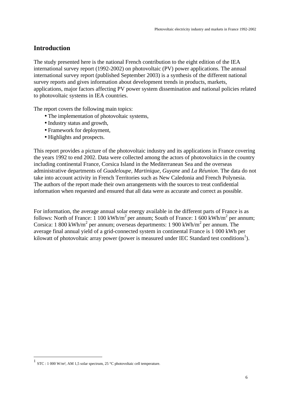#### **Introduction**

The study presented here is the national French contribution to the eight edition of the IEA international survey report (1992-2002) on photovoltaic (PV) power applications. The annual international survey report (published September 2003) is a synthesis of the different national survey reports and gives information about development trends in products, markets, applications, major factors affecting PV power system dissemination and national policies related to photovoltaic systems in IEA countries.

The report covers the following main topics:

- The implementation of photovoltaic systems,
- Industry status and growth,
- Framework for deployment,
- Highlights and prospects.

This report provides a picture of the photovoltaic industry and its applications in France covering the years 1992 to end 2002. Data were collected among the actors of photovoltaics in the country including continental France, Corsica Island in the Mediterranean Sea and the overseas administrative departments of *Guadeloupe, Martinique, Guyane* and *La Réunion*. The data do not take into account activity in French Territories such as New Caledonia and French Polynesia. The authors of the report made their own arrangements with the sources to treat confidential information when requested and ensured that all data were as accurate and correct as possible.

For information, the average annual solar energy available in the different parts of France is as follows: North of France: 1 100 kWh/m<sup>2</sup> per annum; South of France: 1 600 kWh/m<sup>2</sup> per annum; Corsica: 1 800 kWh/m<sup>2</sup> per annum; overseas departments: 1 900 kWh/m<sup>2</sup> per annum. The average final annual yield of a grid-connected system in continental France is 1 000 kWh per kilowatt of photovoltaic array power (power is measured under IEC Standard test conditions<sup>1</sup>).

 $\overline{a}$ 

<sup>1</sup> STC : 1 000 W/m², AM 1,5 solar spectrum, 25 °C photovoltaic cell temperature.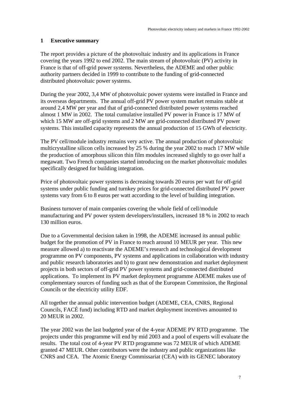#### **1 Executive summary**

The report provides a picture of the photovoltaic industry and its applications in France covering the years 1992 to end 2002. The main stream of photovoltaic (PV) activity in France is that of off-grid power systems. Nevertheless, the ADEME and other public authority partners decided in 1999 to contribute to the funding of grid-connected distributed photovoltaic power systems.

During the year 2002, 3,4 MW of photovoltaic power systems were installed in France and its overseas departments. The annual off-grid PV power system market remains stable at around 2,4 MW per year and that of grid-connected distributed power systems reached almost 1 MW in 2002. The total cumulative installed PV power in France is 17 MW of which 15 MW are off-grid systems and 2 MW are grid-connected distributed PV power systems. This installed capacity represents the annual production of 15 GWh of electricity.

The PV cell/module industry remains very active. The annual production of photovoltaic multicrystalline silicon cells increased by 25 % during the year 2002 to reach 17 MW while the production of amorphous silicon thin film modules increased slightly to go over half a megawatt. Two French companies started introducing on the market photovoltaic modules specifically designed for building integration.

Price of photovoltaic power systems is decreasing towards 20 euros per watt for off-grid systems under public funding and turnkey prices for grid-connected distributed PV power systems vary from 6 to 8 euros per watt according to the level of building integration.

Business turnover of main companies covering the whole field of cell/module manufacturing and PV power system developers/installers, increased 18 % in 2002 to reach 130 million euros.

Due to a Governmental decision taken in 1998, the ADEME increased its annual public budget for the promotion of PV in France to reach around 10 MEUR per year. This new measure allowed a) to reactivate the ADEME's research and technological development programme on PV components, PV systems and applications in collaboration with industry and public research laboratories and b) to grant new demonstration and market deployment projects in both sectors of off-grid PV power systems and grid-connected distributed applications. To implement its PV market deployment programme ADEME makes use of complementary sources of funding such as that of the European Commission, the Regional Councils or the electricity utility EDF.

All together the annual public intervention budget (ADEME, CEA, CNRS, Regional Councils, FACÉ fund) including RTD and market deployment incentives amounted to 20 MEUR in 2002.

The year 2002 was the last budgeted year of the 4-year ADEME PV RTD programme. The projects under this programme will end by mid 2003 and a pool of experts will evaluate the results. The total cost of 4-year PV RTD programme was 72 MEUR of which ADEME granted 47 MEUR. Other contributors were the industry and public organizations like CNRS and CEA. The Atomic Energy Commissariat (CEA) with its GENEC laboratory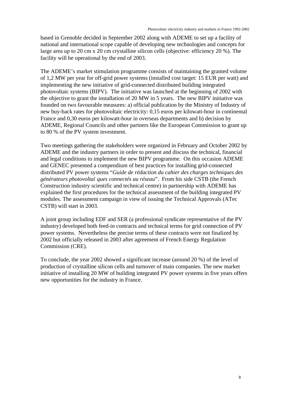based in Grenoble decided in September 2002 along with ADEME to set up a facility of national and international scope capable of developing new technologies and concepts for large area up to 20 cm x 20 cm crystalline silicon cells (objective: efficiency 20 %). The facility will be operational by the end of 2003.

The ADEME's market stimulation programme consists of maintaining the granted volume of 1,2 MW per year for off-grid power systems (installed cost target: 15 EUR per watt) and implementing the new initiative of grid-connected distributed building integrated photovoltaic systems (BIPV). The initiative was launched at the beginning of 2002 with the objective to grant the installation of 20 MW in 5 years. The new BIPV initiative was founded on two favourable measures: a) official publication by the Ministry of Industry of new buy-back rates for photovoltaic electricity: 0,15 euros per kilowatt-hour in continental France and 0,30 euros per kilowatt-hour in overseas departments and b) decision by ADEME, Regional Councils and other partners like the European Commission to grant up to 80 % of the PV system investment.

Two meetings gathering the stakeholders were organized in February and October 2002 by ADEME and the industry partners in order to present and discuss the technical, financial and legal conditions to implement the new BIPV programme. On this occasion ADEME and GENEC presented a compendium of best practices for installing grid-connected distributed PV power systems "*Guide de rédaction du cahier des charges techniques des générateurs photovoltaï ques connectés au réseau*". From his side CSTB (the French Construction industry scientific and technical centre) in partnership with ADEME has explained the first procedures for the technical assessment of the building integrated PV modules. The assessment campaign in view of issuing the Technical Approvals (ATec CSTB) will start in 2003.

A joint group including EDF and SER (a professional syndicate representative of the PV industry) developed both feed-in contracts and technical terms for grid connection of PV power systems. Nevertheless the precise terms of these contracts were not finalized by 2002 but officially released in 2003 after agreement of French Energy Regulation Commission (CRE).

To conclude, the year 2002 showed a significant increase (around 20 %) of the level of production of crystalline silicon cells and turnover of main companies. The new market initiative of installing 20 MW of building integrated PV power systems in five years offers new opportunities for the industry in France.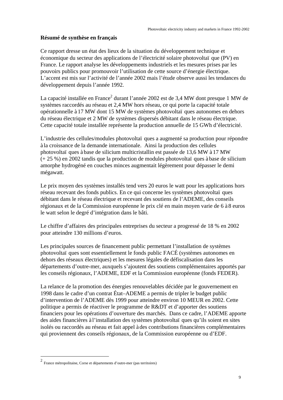#### **Résumé de synthèse en français**

Ce rapport dresse un état des lieux de la situation du développement technique et économique du secteur des applications de l'électricité solaire photovoltaï que (PV) en France. Le rapport analyse les développements industriels et les mesures prises par les pouvoirs publics pour promouvoir l'utilisation de cette source d'énergie électrique. L'accent est mis sur l'activité de l'année 2002 mais l'étude observe aussi les tendances du développement depuis l'année 1992.

La capacité installée en France<sup>2</sup> durant l'année 2002 est de 3,4 MW dont presque 1 MW de systèmes raccordés au réseau et 2,4 MW hors réseau, ce qui porte la capacité totale opérationnelle à 17 MW dont 15 MW de systèmes photovoltaï ques autonomes en dehors du réseau électrique et 2 MW de systèmes dispersés débitant dans le réseau électrique. Cette capacité totale installée représente la production annuelle de 15 GWh d'électricité.

L'industrie des cellules/modules photovoltaï ques a augmenté sa production pour répondre à la croissance de la demande internationale. Ainsi la production des cellules photovoltaï ques à base de silicium multicristallin est passée de 13,6 MW à 17 MW (+ 25 %) en 2002 tandis que la production de modules photovoltaï ques à base de silicium amorphe hydrogéné en couches minces augmentait légèrement pour dépasser le demi mégawatt.

Le prix moyen des systèmes installés tend vers 20 euros le watt pour les applications hors réseau recevant des fonds publics. En ce qui concerne les systèmes photovoltaï ques débitant dans le réseau électrique et recevant des soutiens de l'ADEME, des conseils régionaux et de la Commission européenne le prix clé en main moyen varie de 6 à 8 euros le watt selon le degré d'intégration dans le bâti.

Le chiffre d'affaires des principales entreprises du secteur a progressé de 18 % en 2002 pour atteindre 130 millions d'euros.

Les principales sources de financement public permettant l'installation de systèmes photovoltaï ques sont essentiellement le fonds public FACÉ (systèmes autonomes en dehors des réseaux électriques) et les mesures légales de défiscalisation dans les départements d'outre-mer, auxquels s'ajoutent des soutiens complémentaires apportés par les conseils régionaux, l'ADEME, EDF et la Commission européenne (fonds FEDER).

La relance de la promotion des énergies renouvelables décidée par le gouvernement en 1998 dans le cadre d'un contrat État–ADEME a permis de tripler le budget public d'intervention de l'ADEME dès 1999 pour atteindre environ 10 MEUR en 2002. Cette politique a permis de réactiver le programme de R&DT et d'apporter des soutiens financiers pour les opérations d'ouverture des marchés. Dans ce cadre, l'ADEME apporte des aides financières à l'installation des systèmes photovoltaï ques qu'ils soient en sites isolés ou raccordés au réseau et fait appel à des contributions financières complémentaires qui proviennent des conseils régionaux, de la Commission européenne ou d'EDF.

 $\overline{a}$ 

<sup>2</sup> France métropolitaine, Corse et départements d'outre-mer (pas territoires)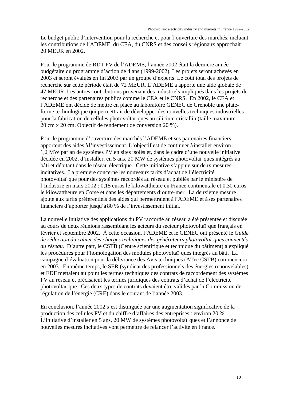Le budget public d'intervention pour la recherche et pour l'ouverture des marchés, incluant les contributions de l'ADEME, du CEA, du CNRS et des conseils régionaux approchait 20 MEUR en 2002.

Pour le programme de RDT PV de l'ADEME, l'année 2002 était la dernière année budgétaire du programme d'action de 4 ans (1999-2002). Les projets seront achevés en 2003 et seront évalués en fin 2003 par un groupe d'experts. Le coût total des projets de recherche sur cette période était de 72 MEUR. L'ADEME a apporté une aide globale de 47 MEUR. Les autres contributions provenant des industriels impliqués dans les projets de recherche et des partenaires publics comme le CEA et le CNRS. En 2002, le CEA et l'ADEME ont décidé de mettre en place au laboratoire GENEC de Grenoble une plateforme technologique qui permettrait de développer des nouvelles techniques industrielles pour la fabrication de cellules photovoltaï ques au silicium cristallin (taille maximum 20 cm x 20 cm. Objectif de rendement de conversion 20 %).

Pour le programme d'ouverture des marchés l'ADEME et ses partenaires financiers apportent des aides à l'investissement. L'objectif est de continuer à installer environ 1,2 MW par an de systèmes PV en sites isolés et, dans le cadre d'une nouvelle initiative décidée en 2002, d'installer, en 5 ans, 20 MW de systèmes photovoltaï ques intégrés au bâti et débitant dans le réseau électrique. Cette initiative s'appuie sur deux mesures incitatives. La première concerne les nouveaux tarifs d'achat de l'électricité photovoltaï que pour des systèmes raccordés au réseau et publiés par le ministère de l'Industrie en mars 2002 : 0,15 euros le kilowattheure en France continentale et 0,30 euros le kilowattheure en Corse et dans les départements d'outre-mer. La deuxième mesure ajoute aux tarifs préférentiels des aides qui permettraient à l'ADEME et à ses partenaires financiers d'apporter jusqu'à 80 % de l'investissement initial.

La nouvelle initiative des applications du PV raccordé au réseau a été présentée et discutée au cours de deux réunions rassemblant les acteurs du secteur photovoltaï que français en février et septembre 2002. À cette occasion, l'ADEME et le GENEC ont présenté le *Guide de rédaction du cahier des charges techniques des générateurs photovoltaï ques connectés au réseau*. D'autre part, le CSTB (Centre scientifique et technique du bâtiment) a expliqué les procédures pour l'homologation des modules photovoltaï ques intégrés au bâti. La campagne d'évaluation pour la délivrance des Avis techniques (ATec CSTB) commencera en 2003. En même temps, le SER (syndicat des professionnels des énergies renouvelables) et EDF mettaient au point les termes techniques des contrats de raccordement des systèmes PV au réseau et précisaient les termes juridiques des contrats d'achat de l'électricité photovoltaï que. Ces deux types de contrats devaient être validés par la Commission de régulation de l'énergie (CRE) dans le courant de l'année 2003.

En conclusion, l'année 2002 s'est distinguée par une augmentation significative de la production des cellules PV et du chiffre d'affaires des entreprises : environ 20 %. L'initiative d'installer en 5 ans, 20 MW de systèmes photovoltaï ques et l'annonce de nouvelles mesures incitatives vont permettre de relancer l'activité en France.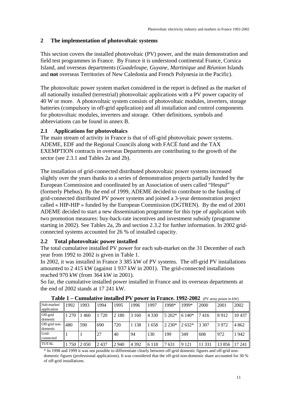#### **2 The implementation of photovoltaic systems**

This section covers the installed photovoltaic (PV) power, and the main demonstration and field test programmes in France. By France it is understood continental France, Corsica Island, and overseas departments (*Guadeloupe, Guyane, Martinique* and *Réunion* Islands and **not** overseas Territories of New Caledonia and French Polynesia in the Pacific).

The photovoltaic power system market considered in the report is defined as the market of all nationally installed (terrestrial) photovoltaic applications with a PV power capacity of 40 W or more. A photovoltaic system consists of photovoltaic modules, inverters, storage batteries (compulsory in off-grid application) and all installation and control components for photovoltaic modules, inverters and storage. Other definitions, symbols and abbreviations can be found in annex B.

#### **2.1 Applications for photovoltaics**

The main stream of activity in France is that of off-grid photovoltaic power systems. ADEME, EDF and the Regional Councils along with FACÉ fund and the TAX EXEMPTION contracts in overseas Departments are contributing to the growth of the sector (see 2.3.1 and Tables 2a and 2b).

The installation of grid-connected distributed photovoltaic power systems increased slightly over the years thanks to a series of demonstration projects partially funded by the European Commission and coordinated by an Association of users called "Hespul" (formerly Phebus). By the end of 1999, ADEME decided to contribute to the funding of grid-connected distributed PV power systems and joined a 3-year demonstration project called « HIP-HIP » funded by the European Commission (DGTREN). By the end of 2001 ADEME decided to start a new dissemination programme for this type of application with two promotion measures: buy-back-rate incentives and investment subsidy (programme starting in 2002). See Tables 2a, 2b and section 2.3.2 for further information. In 2002 gridconnected systems accounted for 26 % of installed capacity.

#### **2.2 Total photovoltaic power installed**

The total cumulative installed PV power for each sub-market on the 31 December of each year from 1992 to 2002 is given in Table 1.

In 2002, it was installed in France 3 385 kW of PV systems. The off-grid PV installations amounted to 2 415 kW (against 1 937 kW in 2001). The grid-connected installations reached 970 kW (from 364 kW in 2001).

So far, the cumulative installed power installed in France and its overseas departments at the end of 2002 stands at 17 241 kW.

|                            |         |         |         | тарк т — Синицанус ныанся т |         |         |          |         | <b>DOWCL III I LAHCC.</b> $1772 - 2002$ if y allay bowel iii KWT |       |         |
|----------------------------|---------|---------|---------|-----------------------------|---------|---------|----------|---------|------------------------------------------------------------------|-------|---------|
| Sub-market/<br>application | 1992    | 1993    | 1994    | 1995                        | 1996    | 1997    | 1998*    | 1999*   | 2000                                                             | 2001  | 2002    |
| Off-grid<br>domestic       | 1 2 7 0 | 460     | 1 7 2 0 | 2 1 8 0                     | 3 1 6 0 | 4 3 3 0 | 5 202*   | $6140*$ | 7416                                                             | 8912  | 10437   |
| Off-grid non-<br>domestic  | 480     | 590     | 690     | 720                         | 1 1 3 8 | 1 658   | $2.230*$ | $2632*$ | 3 307                                                            | 3972  | 4 8 6 2 |
| Grid-<br>connected         |         |         | 27      | 40                          | -94     | 130     | 199      | 349     | 608                                                              | 972   | 942     |
| <b>TOTAL</b>               | 750     | 2 0 5 0 | 2437    | 2 9 4 0                     | 4 3 9 2 | 6 1 1 8 | 7631     | 9 1 2 1 | 11 331                                                           | 13856 | 17 24 1 |

**Table 1 – Cumulative installed PV power in France. 1992-2002** (PV array power in kW)

\* In 1998 and 1999 it was not possible to differentiate clearly between off-grid domestic figures and off-grid nondomestic figures (professional applications). It was considered that the off-grid non-domestic share accounted for 30 % of off-grid installations.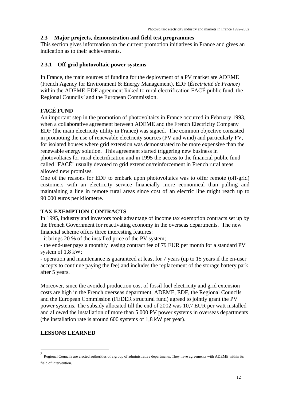#### **2.3 Major projects, demonstration and field test programmes**

This section gives information on the current promotion initiatives in France and gives an indication as to their achievements.

#### **2.3.1 Off-grid photovoltaic power systems**

In France, the main sources of funding for the deployment of a PV market are ADEME (French Agency for Environment & Energy Management), EDF (*Électricité de France*) within the ADEME-EDF agreement linked to rural electrification FACÉ public fund, the Regional Councils<sup>3</sup> and the European Commission.

#### **FACÉ FUND**

An important step in the promotion of photovoltaics in France occurred in February 1993, when a collaborative agreement between ADEME and the French Electricity Company EDF (the main electricity utility in France) was signed. The common objective consisted in promoting the use of renewable electricity sources (PV and wind) and particularly PV, for isolated houses where grid extension was demonstrated to be more expensive than the renewable energy solution. This agreement started triggering new business in photovoltaics for rural electrification and in 1995 the access to the financial public fund called "FACÉ" usually devoted to grid extension/reinforcement in French rural areas allowed new promises.

One of the reasons for EDF to embark upon photovoltaics was to offer remote (off-grid) customers with an electricity service financially more economical than pulling and maintaining a line in remote rural areas since cost of an electric line might reach up to 90 000 euros per kilometre.

#### **TAX EXEMPTION CONTRACTS**

In 1995, industry and investors took advantage of income tax exemption contracts set up by the French Government for reactivating economy in the overseas departments. The new financial scheme offers three interesting features:

- it brings 20 % of the installed price of the PV system;

- the end-user pays a monthly leasing contract fee of 79 EUR per month for a standard PV system of 1,8 kW;

- operation and maintenance is guaranteed at least for 7 years (up to 15 years if the en-user accepts to continue paying the fee) and includes the replacement of the storage battery park after 5 years.

Moreover, since the avoided production cost of fossil fuel electricity and grid extension costs are high in the French overseas department, ADEME, EDF, the Regional Councils and the European Commission (FEDER structural fund) agreed to jointly grant the PV power systems. The subsidy allocated till the end of 2002 was 10,7 EUR per watt installed and allowed the installation of more than 5 000 PV power systems in overseas departments (the installation rate is around 600 systems of 1,8 kW per year).

#### **LESSONS LEARNED**

 $\overline{a}$ 

<sup>3</sup> Regional Councils are elected authorities of a group of administrative departments. They have agreements with ADEME within its field of intervention.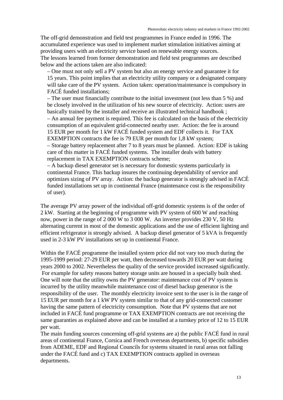The off-grid demonstration and field test programmes in France ended in 1996. The accumulated experience was used to implement market stimulation initiatives aiming at providing users with an electricity service based on renewable energy sources. The lessons learned from former demonstration and field test programmes are described below and the actions taken are also indicated:

– One must not only sell a PV system but also an energy service and guarantee it for 15 years. This point implies that an electricity utility company or a designated company will take care of the PV system. Action taken: operation/maintenance is compulsory in FACÉ funded installations;

– The user must financially contribute to the initial investment (not less than 5 %) and be closely involved in the utilization of his new source of electricity. Action: users are basically trained by the installer and receive an illustrated technical handbook ; – An annual fee payment is required. This fee is calculated on the basis of the electricity consumption of an equivalent grid-connected nearby user. Action: the fee is around 15 EUR per month for 1 kW FACÉ funded system and EDF collects it. For TAX

EXEMPTION contracts the fee is 79 EUR per month for 1,8 kW system;

– Storage battery replacement after 7 to 8 years must be planned. Action: EDF is taking care of this matter in FACÉ funded systems. The installer deals with battery replacement in TAX EXEMPTION contracts scheme;

– A backup diesel generator set is necessary for domestic systems particularly in continental France. This backup insures the continuing dependability of service and optimizes sizing of PV array. Action: the backup generator is strongly advised in FACÉ funded installations set up in continental France (maintenance cost is the responsibility of user).

The average PV array power of the individual off-grid domestic systems is of the order of 2 kW. Starting at the beginning of programme with PV system of 600 W and reaching now, power in the range of 2 000 W to 3 000 W. An inverter provides 230 V, 50 Hz alternating current in most of the domestic applications and the use of efficient lighting and efficient refrigerator is strongly advised. A backup diesel generator of 5 kVA is frequently used in 2-3 kW PV installations set up in continental France.

Within the FACÉ programme the installed system price did not vary too much during the 1995-1999 period: 27-29 EUR per watt, then decreased towards 20 EUR per watt during years 2000 to 2002. Nevertheless the quality of the service provided increased significantly. For example for safety reasons battery storage units are housed in a specially built shed. One will note that the utility owns the PV generator: maintenance cost of PV system is incurred by the utility meanwhile maintenance cost of diesel backup generator is the responsibility of the user. The monthly electricity invoice sent to the user is in the range of 15 EUR per month for a 1 kW PV system similar to that of any grid-connected customer having the same pattern of electricity consumption. Note that PV systems that are not included in FACÉ fund programme or TAX EXEMPTION contracts are not receiving the same guaranties as explained above and can be installed at a turnkey price of 12 to 15 EUR per watt.

The main funding sources concerning off-grid systems are a) the public FACÉ fund in rural areas of continental France, Corsica and French overseas departments*,* b) specific subsidies from ADEME, EDF and Regional Councils for systems situated in rural areas not falling under the FACÉ fund and c) TAX EXEMPTION contracts applied in overseas departments.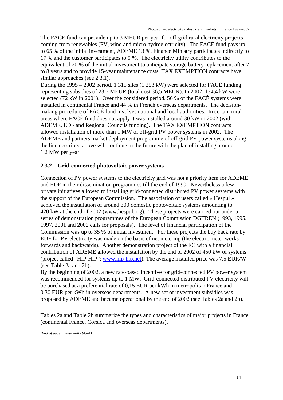The FACÉ fund can provide up to 3 MEUR per year for off-grid rural electricity projects coming from renewables (PV, wind and micro hydroelectricity). The FACÉ fund pays up to 65 % of the initial investment, ADEME 13 %, Finance Ministry participates indirectly to 17 % and the customer participates to 5 %. The electricity utility contributes to the equivalent of 20 % of the initial investment to anticipate storage battery replacement after 7 to 8 years and to provide 15-year maintenance costs. TAX EXEMPTION contracts have similar approaches (see 2.3.1).

During the 1995 – 2002 period, 1 315 sites (1 253 kW) were selected for FACÉ funding representing subsidies of 23,7 MEUR (total cost 36,5 MEUR). In 2002, 134,4 kW were selected (72 kW in 2001). Over the considered period, 56 % of the FACÉ systems were installed in continental France and 44 % in French overseas departments. The decisionmaking procedure of FACÉ fund involves national and local authorities. In certain rural areas where FACÉ fund does not apply it was installed around 30 kW in 2002 (with ADEME, EDF and Regional Councils funding). The TAX EXEMPTION contracts allowed installation of more than 1 MW of off-grid PV power systems in 2002. The ADEME and partners market deployment programme of off-grid PV power systems along the line described above will continue in the future with the plan of installing around 1,2 MW per year.

#### **2.3.2 Grid-connected photovoltaic power systems**

Connection of PV power systems to the electricity grid was not a priority item for ADEME and EDF in their dissemination programmes till the end of 1999. Nevertheless a few private initiatives allowed to installing grid-connected distributed PV power systems with the support of the European Commission. The association of users called « Hespul » achieved the installation of around 300 domestic photovoltaic systems amounting to 420 kW at the end of 2002 (www.hespul.org). These projects were carried out under a series of demonstration programmes of the European Commission DGTREN (1993, 1995, 1997, 2001 and 2002 calls for proposals). The level of financial participation of the Commission was up to 35 % of initial investment. For these projects the buy back rate by EDF for PV electricity was made on the basis of net metering (the electric meter works forwards and backwards). Another demonstration project of the EC with a financial contribution of ADEME allowed the installation by the end of 2002 of 450 kW of systems (project called "HIP-HIP": www.hip-hip.net). The average installed price was 7,5 EUR/W (see Table 2a and 2b).

By the beginning of 2002, a new rate-based incentive for grid-connected PV power system was recommended for systems up to 1 MW. Grid-connected distributed PV electricity will be purchased at a preferential rate of 0,15 EUR per kWh in metropolitan France and 0,30 EUR per kWh in overseas departments. A new set of investment subsidies was proposed by ADEME and became operational by the end of 2002 (see Tables 2a and 2b).

Tables 2a and Table 2b summarize the types and characteristics of major projects in France (continental France, Corsica and overseas departments).

*(End of page intentionally blank)*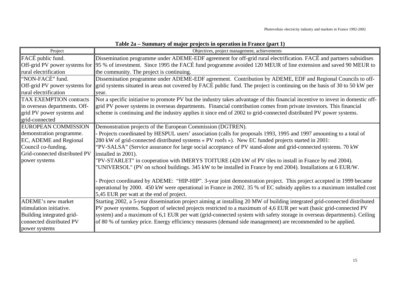| Project                        | Objectives, project management, achievements                                                                                                 |
|--------------------------------|----------------------------------------------------------------------------------------------------------------------------------------------|
| FACÉ public fund.              | Dissemination programme under ADEME-EDF agreement for off-grid rural electrification. FACÉ and partners subsidises                           |
|                                | Off-grid PV power systems for 25 % of investment. Since 1995 the FACÉ fund programme avoided 120 MEUR of line extension and saved 90 MEUR to |
| rural electrification          | the community. The project is continuing.                                                                                                    |
| "NON-FACÉ" fund.               | Dissemination programme under ADEME-EDF agreement. Contribution by ADEME, EDF and Regional Councils to off-                                  |
| Off-grid PV power systems for  | grid systems situated in areas not covered by FACÉ public fund. The project is continuing on the basis of 30 to 50 kW per                    |
| rural electrification          | year.                                                                                                                                        |
| <b>TAX EXEMPTION contracts</b> | Not a specific initiative to promote PV but the industry takes advantage of this financial incentive to invest in domestic off-              |
| in overseas departments. Off-  | grid PV power systems in overseas departments. Financial contribution comes from private investors. This financial                           |
| grid PV power systems and      | scheme is continuing and the industry applies it since end of 2002 to grid-connected distributed PV power systems.                           |
| grid-connected                 |                                                                                                                                              |
| <b>EUROPEAN COMMISSION</b>     | Demonstration projects of the European Commission (DGTREN).                                                                                  |
| demonstration programme.       | - Projects coordinated by HESPUL users' association (calls for proposals 1993, 1995 and 1997 amounting to a total of                         |
| <b>EC, ADEME</b> and Regional  | 280 kW of grid-connected distributed systems « PV roofs »). New EC funded projects started in 2001:                                          |
| Council co-funding.            | "PV-SALSA" (Service assurance for large social acceptance of PV stand-alone and grid-connected systems. 70 kW                                |
| Grid-connected distributed PV  | installed in 2001).                                                                                                                          |
| power systems                  | "PV-STARLET" in cooperation with IMERYS TOITURE (420 kW of PV tiles to install in France by end 2004).                                       |
|                                | "UNIVERSOL" (PV on school buildings. 345 kW to be installed in France by end 2004). Installations at 6 EUR/W.                                |
|                                |                                                                                                                                              |
|                                | Project coordinated by ADEME: "HIP-HIP". 3-year joint demonstration project. This project accepted in 1999 became                            |
|                                | operational by 2000. 450 kW were operational in France in 2002. 35 % of EC subsidy applies to a maximum installed cost                       |
|                                | 5,45 EUR per watt at the end of project.                                                                                                     |
| ADEME's new market             | Starting 2002, a 5-year dissemination project aiming at installing 20 MW of building integrated grid-connected distributed                   |
| stimulation initiative.        | PV power systems. Support of selected projects restricted to a maximum of 4,6 EUR per watt (basic grid-connected PV                          |
| Building integrated grid-      | system) and a maximum of 6,1 EUR per watt (grid-connected system with safety storage in overseas departments). Ceiling                       |
| connected distributed PV       | of 80 % of turnkey price. Energy efficiency measures (demand side management) are recommended to be applied.                                 |
| power systems                  |                                                                                                                                              |

**Table 2a – Summary of major projects in operation in France (part 1)**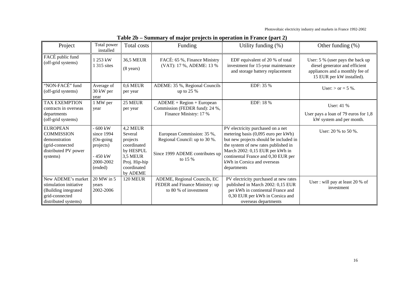Photovoltaic electricity industry and markets in France 1992-2002

| Project                                                                                                        | Total power<br>installed                                                           | Total costs                                                                                                         | Funding                                                                                                   | Utility funding (%)                                                                                                                                                                                                                                                                | Other funding (%)                                                                                                                  |
|----------------------------------------------------------------------------------------------------------------|------------------------------------------------------------------------------------|---------------------------------------------------------------------------------------------------------------------|-----------------------------------------------------------------------------------------------------------|------------------------------------------------------------------------------------------------------------------------------------------------------------------------------------------------------------------------------------------------------------------------------------|------------------------------------------------------------------------------------------------------------------------------------|
| FACÉ public fund<br>(off-grid systems)                                                                         | 1 253 kW<br>1 315 sites                                                            | <b>36,5 MEUR</b><br>$(8 \text{ years})$                                                                             | FACÉ: 65 %, Finance Ministry<br>(VAT): 17 %, ADEME: 13 %                                                  | EDF equivalent of 20 % of total<br>investment for 15-year maintenance<br>and storage battery replacement                                                                                                                                                                           | User: 5 % (user pays the back up<br>diesel generator and efficient<br>appliances and a monthly fee of<br>15 EUR per kW installed). |
| "NON-FACÉ" fund<br>(off-grid systems)                                                                          | Average of<br>30 kW per<br>year                                                    | 0,6 MEUR<br>per year                                                                                                | ADEME: 35 %, Regional Councils<br>up to $25%$                                                             | EDF: 35 %                                                                                                                                                                                                                                                                          | User: $>$ or = 5 %.                                                                                                                |
| <b>TAX EXEMPTION</b><br>contracts in overseas<br>departments<br>(off-grid systems)                             | 1 MW per<br>year                                                                   | 25 MEUR<br>per year                                                                                                 | $ADEME + Region + European$<br>Commission (FEDER fund): 24 %,<br>Finance Ministry: 17 %                   | EDF: 18 %                                                                                                                                                                                                                                                                          | User: 41 %<br>User pays a loan of 79 euros for 1,8<br>kW system and per month.                                                     |
| <b>EUROPEAN</b><br><b>COMMISSION</b><br>demonstration<br>(grid-connected<br>distributed PV power<br>systems)   | 600 kW<br>since 1994<br>(On-going<br>projects)<br>- 450 kW<br>2000-2002<br>(ended) | 4,2 MEUR<br>Several<br>projects<br>coordinated<br>by HESPUL<br>3,5 MEUR<br>Proj. Hip-hip<br>coordinated<br>by ADEME | European Commission: 35 %,<br>Regional Council: up to 30 %.<br>Since 1999 ADEME contributes up<br>to 15 % | PV electricity purchased on a net<br>metering basis (0,095 euro per kWh)<br>but new projects should be included in<br>the system of new rates published in<br>March 2002: 0,15 EUR per kWh in<br>continental France and 0,30 EUR per<br>kWh in Corsica and overseas<br>departments | User: $20\%$ to $50\%$ .                                                                                                           |
| New ADEME's market<br>stimulation initiative<br>(Building integrated<br>grid-connected<br>distributed systems) | 20 MW in 5<br>years<br>2002-2006                                                   | 120 MEUR                                                                                                            | ADEME, Regional Councils, EC<br>FEDER and Finance Ministry: up<br>to 80 % of investment                   | PV electricity purchased at new rates<br>published in March 2002: 0,15 EUR<br>per kWh in continental France and<br>0,30 EUR per kWh in Corsica and<br>overseas departments                                                                                                         | User: will pay at least 20 % of<br>investment                                                                                      |

| Table 2b – Summary of major projects in operation in France (part 2) |  |  |
|----------------------------------------------------------------------|--|--|
|                                                                      |  |  |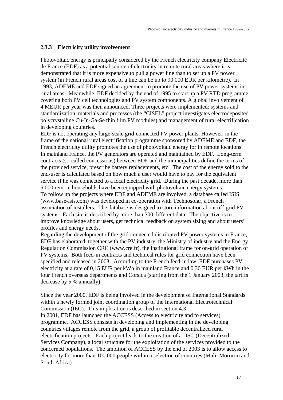#### **2.3.3 Electricity utility involvement**

Photovoltaic energy is principally considered by the French electricity company Électricité de France (EDF) as a potential source of electricity in remote rural areas where it is demonstrated that it is more expensive to pull a power line than to set up a PV power system (in French rural areas cost of a line can be up to 90 000 EUR per kilometre). In 1993, ADEME and EDF signed an agreement to promote the use of PV power systems in rural areas. Meanwhile, EDF decided by the end of 1995 to start up a PV RTD programme covering both PV cell technologies and PV system components. A global involvement of 4 MEUR per year was then announced. Three projects were implemented: systems and standardization, materials and processes (the "CISEL" project investigates electrodeposited polycrystalline Cu-In-Ga-Se thin film PV modules) and management of rural electrification in developing countries.

EDF is not operating any large-scale grid-connected PV power plants. However, in the frame of the national rural electrification programme sponsored by ADEME and EDF, the French electricity utility promotes the use of photovoltaic energy for in remote locations. In mainland France, the PV generators are operated and maintained by EDF. Long-term contracts (so-called concessions) between EDF and the municipalities define the terms of the provided service, prescribe battery replacements, etc. The cost of the energy sold to the end-user is calculated based on how much a user would have to pay for the equivalent service if he was connected to a local electricity grid. During the past decade, more than 5 000 remote households have been equipped with photovoltaic energy systems. To follow up the projects where EDF and ADEME are involved, a database called ISIS (www.base-isis.com) was developed in co-operation with Technosolar, a French association of installers. The database is designed to store information about off-grid PV systems. Each site is described by more than 300 different data. The objective is to improve knowledge about users, get technical feedback on system sizing and about users' profiles and energy needs.

Regarding the development of the grid-connected distributed PV power systems in France, EDF has elaborated, together with the PV industry, the Ministry of industry and the Energy Regulation Commission CRE (www.cre.fr), the institutional frame for on-grid operation of PV systems. Both feed-in contracts and technical rules for grid connection have been specified and released in 2003. According to the French feed-in law, EDF purchases PV electricity at a rate of 0,15 EUR per kWh in mainland France and 0,30 EUR per kWh in the four French overseas departments and Corsica (starting from the 1 January 2003, the tariffs decrease by 5 % annually).

Since the year 2000, EDF is being involved in the development of International Standards within a newly formed joint coordination group of the International Electrotechnical Commission (IEC). This implication is described in section 4.3.

In 2001, EDF has launched the ACCESS (Access to electricity and to services) programme. ACCESS consists in developing and implementing in the developing countries villages remote from the grid, a group of profitable decentralized rural electrification projects. Each project leads to the creation of a DSC (Decentralized Services Company), a local structure for the exploitation of the services provided to the concerned populations. The ambition of ACCESS by the end of 2003 is to allow access to electricity for more than 100 000 people within a selection of countries (Mali, Morocco and South Africa).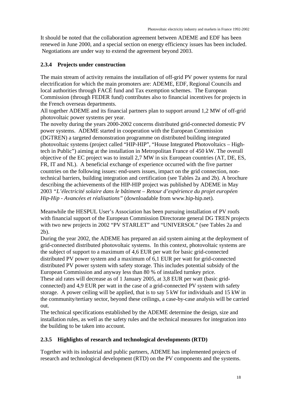It should be noted that the collaboration agreement between ADEME and EDF has been renewed in June 2000, and a special section on energy efficiency issues has been included. Negotiations are under way to extend the agreement beyond 2003.

#### **2.3.4 Projects under construction**

The main stream of activity remains the installation of off-grid PV power systems for rural electrification for which the main promoters are: ADEME, EDF, Regional Councils and local authorities through FACÉ fund and Tax exemption schemes. The European Commission (through FEDER fund) contributes also to financial incentives for projects in the French overseas departments.

All together ADEME and its financial partners plan to support around 1,2 MW of off-grid photovoltaic power systems per year.

The novelty during the years 2000-2002 concerns distributed grid-connected domestic PV power systems. ADEME started in cooperation with the European Commission (DGTREN) a targeted demonstration programme on distributed building integrated photovoltaic systems (project called "HIP-HIP", "House Integrated Photovoltaics – Hightech in Public") aiming at the installation in Metropolitan France of 450 kW. The overall objective of the EC project was to install 2,7 MW in six European countries (AT, DE, ES, FR, IT and NL). A beneficial exchange of experience occurred with the five partner countries on the following issues: end-users issues, impact on the grid connection, nontechnical barriers, building integration and certification (see Tables 2a and 2b). A brochure describing the achievements of the HIP-HIP project was published by ADEME in May 2003 *"L'électricité solaire dans le bâtiment – Retour d'expérience du projet européen Hip-Hip - Avancées et réalisations"* (downloadable from www.hip-hip.net).

Meanwhile the HESPUL User's Association has been pursuing installation of PV roofs with financial support of the European Commission Directorate general DG TREN projects with two new projects in 2002 "PV STARLET" and "UNIVERSOL" (see Tables 2a and 2b).

During the year 2002, the ADEME has prepared an aid system aiming at the deployment of grid-connected distributed photovoltaic systems. In this context, photovoltaic systems are the subject of support to a maximum of 4,6 EUR per watt for basic grid-connected distributed PV power system and a maximum of 6,1 EUR per watt for grid-connected distributed PV power system with safety storage. This includes potential subsidy of the European Commission and anyway less than 80 % of installed turnkey price.

These aid rates will decrease as of 1 January 2005, at 3,8 EUR per watt (basic gridconnected) and 4,9 EUR per watt in the case of a grid-connected PV system with safety storage. A power ceiling will be applied, that is to say 5 kW for individuals and 15 kW in the community/tertiary sector, beyond these ceilings, a case-by-case analysis will be carried out.

The technical specifications established by the ADEME determine the design, size and installation rules, as well as the safety rules and the technical measures for integration into the building to be taken into account.

#### **2.3.5 Highlights of research and technological developments (RTD)**

Together with its industrial and public partners, ADEME has implemented projects of research and technological development (RTD) on the PV components and the systems.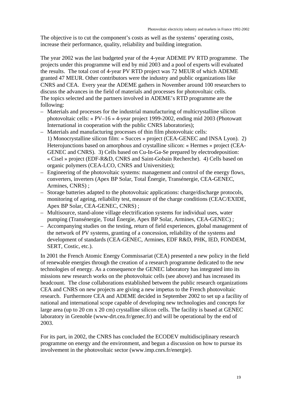The objective is to cut the component's costs as well as the systems' operating costs, increase their performance, quality, reliability and building integration.

The year 2002 was the last budgeted year of the 4-year ADEME PV RTD programme. The projects under this programme will end by mid 2003 and a pool of experts will evaluated the results. The total cost of 4-year PV RTD project was 72 MEUR of which ADEME granted 47 MEUR. Other contributors were the industry and public organizations like CNRS and CEA. Every year the ADEME gathers in November around 100 researchers to discuss the advances in the field of materials and processes for photovoltaic cells. The topics selected and the partners involved in ADEME's RTD programme are the following:

- Materials and processes for the industrial manufacturing of multicrystalline silicon photovoltaic cells: « PV–16 » 4-year project 1999-2002, ending mid 2003 (Photowatt International in cooperation with the public CNRS laboratories);
- Materials and manufacturing processes of thin film photovoltaic cells: 1) Monocrystalline silicon film: « Succes » project (CEA-GENEC and INSA Lyon). 2) Heterojunctions based on amorphous and crystalline silicon: « Hermes » project (CEA-GENEC and CNRS). 3) Cells based on Cu-In-Ga-Se prepared by electrodeposition: « Cisel » project (EDF-R&D, CNRS and Saint-Gobain Recherche). 4) Cells based on organic polymers (CEA-LCO, CNRS and Universities);
- Engineering of the photovoltaic systems: management and control of the energy flows, converters, inverters (Apex BP Solar, Total Énergie, Transénergie, CEA-GENEC, Armines, CNRS) ;
- Storage batteries adapted to the photovoltaic applications: charge/discharge protocols, monitoring of ageing, reliability test, measure of the charge conditions (CEAC/EXIDE, Apex BP Solar, CEA-GENEC, CNRS) ;
- Multisource, stand-alone village electrification systems for individual uses, water pumping (Transénergie, Total Énergie, Apex BP Solar, Armines, CEA-GENEC) ;
- Accompanying studies on the testing, return of field experiences, global management of the network of PV systems, granting of a concession, reliability of the systems and development of standards (CEA-GENEC, Armines, EDF R&D, PHK, IED, FONDEM, SERT, Costic, etc.).

In 2001 the French Atomic Energy Commissariat (CEA) presented a new policy in the field of renewable energies through the creation of a research programme dedicated to the new technologies of energy. As a consequence the GENEC laboratory has integrated into its missions new research works on the photovoltaic cells (see above) and has increased its headcount. The close collaborations established between the public research organizations CEA and CNRS on new projects are giving a new impetus to the French photovoltaic research. Furthermore CEA and ADEME decided in September 2002 to set up a facility of national and international scope capable of developing new technologies and concepts for large area (up to 20 cm x 20 cm) crystalline silicon cells. The facility is based at GENEC laboratory in Grenoble (www-drt.cea.fr/genec.fr) and will be operational by the end of 2003.

For its part, in 2002, the CNRS has concluded the ECODEV multidisciplinary research programme on energy and the environment, and begun a discussion on how to pursue its involvement in the photovoltaic sector (www.imp.cnrs.fr/energie).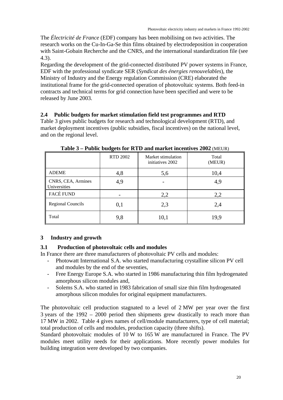The *Électricité de France* (EDF) company has been mobilising on two activities. The research works on the Cu-In-Ga-Se thin films obtained by electrodeposition in cooperation with Saint-Gobain Recherche and the CNRS, and the international standardization file (see 4.3).

Regarding the development of the grid-connected distributed PV power systems in France, EDF with the professional syndicate SER (*Syndicat des énergies renouvelables*), the Ministry of Industry and the Energy regulation Commission (CRE) elaborated the institutional frame for the grid-connected operation of photovoltaic systems. Both feed-in contracts and technical terms for grid connection have been specified and were to be released by June 2003.

#### **2.4 Public budgets for market stimulation field test programmes and RTD**

Table 3 gives public budgets for research and technological development (RTD), and market deployment incentives (public subsidies, fiscal incentives) on the national level, and on the regional level.

|                                           | <b>RTD 2002</b> | Market stimulation<br>initiatives 2002 | Total<br>(MEUR) |
|-------------------------------------------|-----------------|----------------------------------------|-----------------|
| <b>ADEME</b>                              | 4,8             | 5,6                                    | 10,4            |
| CNRS, CEA, Armines<br><b>Universities</b> | 4,9             |                                        | 4,9             |
| FACÉ FUND                                 |                 | 2,2                                    | 2,2             |
| <b>Regional Councils</b>                  | 0,1             | 2,3                                    | 2,4             |
| Total                                     | 9,8             | 10,1                                   | 19,9            |

**Table 3 – Public budgets for RTD and market incentives 2002** (MEUR)

#### **3 Industry and growth**

#### **3.1 Production of photovoltaic cells and modules**

In France there are three manufacturers of photovoltaic PV cells and modules:

- Photowatt International S.A. who started manufacturing crystalline silicon PV cell and modules by the end of the seventies,
- Free Energy Europe S.A. who started in 1986 manufacturing thin film hydrogenated amorphous silicon modules and,
- Solems S.A. who started in 1983 fabrication of small size thin film hydrogenated amorphous silicon modules for original equipment manufacturers.

The photovoltaic cell production stagnated to a level of 2 MW per year over the first 3 years of the 1992 – 2000 period then shipments grew drastically to reach more than 17 MW in 2002. Table 4 gives names of cell/module manufacturers, type of cell material; total production of cells and modules, production capacity (three shifts).

Standard photovoltaic modules of 10 W to 165 W are manufactured in France. The PV modules meet utility needs for their applications. More recently power modules for building integration were developed by two companies.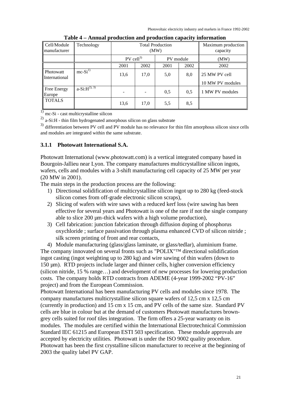Photovoltaic electricity industry and markets in France 1992-2002

| Cell/Module<br>ll manufacturer    | Technology       |                         | <b>Total Production</b><br>(MW) | Maximum production<br>capacity |      |                  |
|-----------------------------------|------------------|-------------------------|---------------------------------|--------------------------------|------|------------------|
|                                   |                  | $PV$ cell <sup>3)</sup> |                                 | PV module                      |      | (MW)             |
|                                   |                  | 2001                    | 2002                            | 2001                           | 2002 | 2002             |
| <b>Photowatt</b><br>International | $mc-Si^{1}$      | 13,6                    | 17,0                            | 5,0                            | 8,0  | 25 MW PV cell    |
|                                   |                  |                         |                                 |                                |      | 10 MW PV modules |
| Free Energy<br>Europe             | $a-Si:H^{2), 3}$ |                         |                                 | 0,5                            | 0,5  | 1 MW PV modules  |
| <b>TOTALS</b>                     |                  | 13,6                    | 17,0                            | 5,5                            | 8,5  |                  |

**Table 4 – Annual production and production capacity information**

 $\frac{1}{1}$  mc-Si - cast multicrystalline silicon

 $^{2)}$  a-Si:H - thin film hydrogenated amorphous silicon on glass substrate

3) differentiation between PV cell and PV module has no relevance for thin film amorphous silicon since cells and modules are integrated within the same substrate.

#### **3.1.1 Photowatt International S.A.**

Photowatt International (www.photowatt.com) is a vertical integrated company based in Bourgoin-Jallieu near Lyon. The company manufactures multicrystalline silicon ingots, wafers, cells and modules with a 3-shift manufacturing cell capacity of 25 MW per year (20 MW in 2001).

The main steps in the production process are the following:

- 1) Directional solidification of multicrystalline silicon ingot up to 280 kg (feed-stock silicon comes from off-grade electronic silicon scraps),
- 2) Slicing of wafers with wire saws with a reduced kerf loss (wire sawing has been effective for several years and Photowatt is one of the rare if not the single company able to slice 200  $\mu$ m-thick wafers with a high volume production),
- 3) Cell fabrication: junction fabrication through diffusion doping of phosphorus oxychloride ; surface passivation through plasma enhanced CVD of silicon nitride ; silk screen printing of front and rear contacts,

4) Module manufacturing (glass/glass laminate, or glass/tedlar), aluminium frame.

The company innovated on several fronts such as "POLIX"™ directional solidification ingot casting (ingot weighting up to 280 kg) and wire sawing of thin wafers (down to 150 µm). RTD projects include larger and thinner cells, higher conversion efficiency (silicon nitride, 15 % range…) and development of new processes for lowering production costs. The company holds RTD contracts from ADEME (4-year 1999-2002 "PV-16" project) and from the European Commission.

Photowatt International has been manufacturing PV cells and modules since 1978. The company manufactures multicrystalline silicon square wafers of 12,5 cm x 12,5 cm (currently in production) and 15 cm x 15 cm, and PV cells of the same size. Standard PV cells are blue in colour but at the demand of customers Photowatt manufactures browngrey cells suited for roof tiles integration. The firm offers a 25-year warranty on its modules. The modules are certified within the International Electrotechnical Commission Standard IEC 61215 and European ESTI 503 specification. These module approvals are accepted by electricity utilities. Photowatt is under the ISO 9002 quality procedure. Photowatt has been the first crystalline silicon manufacturer to receive at the beginning of 2003 the quality label PV GAP.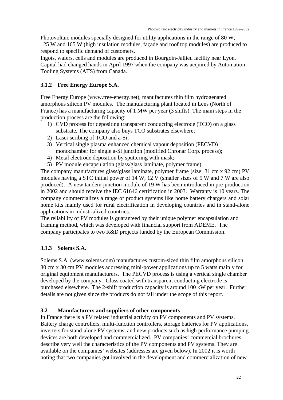Photovoltaic modules specially designed for utility applications in the range of 80 W, 125 W and 165 W (high insulation modules, façade and roof top modules) are produced to respond to specific demand of customers.

Ingots, wafers, cells and modules are produced in Bourgoin-Jallieu facility near Lyon. Capital had changed hands in April 1997 when the company was acquired by Automation Tooling Systems (ATS) from Canada.

#### **3.1.2 Free Energy Europe S.A.**

Free Energy Europe (www.free-energy.net), manufactures thin film hydrogenated amorphous silicon PV modules. The manufacturing plant located in Lens (North of France) has a manufacturing capacity of 1 MW per year (3 shifts). The main steps in the production process are the following:

- 1) CVD process for depositing transparent conducting electrode (TCO) on a glass substrate. The company also buys TCO substrates elsewhere;
- 2) Laser scribing of TCO and a-Si;
- 3) Vertical single plasma enhanced chemical vapour deposition (PECVD) monochamber for single a-Si junction (modified Chronar Corp. process);
- 4) Metal electrode deposition by sputtering with mask;
- 5) PV module encapsulation (glass/glass laminate, polymer frame).

The company manufactures glass/glass laminate, polymer frame (size: 31 cm x 92 cm) PV modules having a STC initial power of 14 W, 12 V (smaller sizes of 5 W and 7 W are also produced). A new tandem junction module of 19 W has been introduced in pre-production in 2002 and should receive the IEC 61646 certification in 2003. Warranty is 10 years. The company commercializes a range of product systems like home battery chargers and solar home kits mainly used for rural electrification in developing countries and in stand-alone applications in industrialized countries.

The reliability of PV modules is guaranteed by their unique polymer encapsulation and framing method, which was developed with financial support from ADEME. The company participates to two R&D projects funded by the European Commission.

#### **3.1.3 Solems S.A.**

Solems S.A. (www.solems.com) manufactures custom-sized thin film amorphous silicon 30 cm x 30 cm PV modules addressing mini-power applications up to 5 watts mainly for original equipment manufacturers. The PECVD process is using a vertical single chamber developed by the company. Glass coated with transparent conducting electrode is purchased elsewhere. The 2-shift production capacity is around 100 kW per year. Further details are not given since the products do not fall under the scope of this report.

#### **3.2 Manufacturers and suppliers of other components**

In France there is a PV related industrial activity on PV components and PV systems. Battery charge controllers, multi-function controllers, storage batteries for PV applications, inverters for stand-alone PV systems, and new products such as high performance pumping devices are both developed and commercialized. PV companies' commercial brochures describe very well the characteristics of the PV components and PV systems. They are available on the companies' websites (addresses are given below). In 2002 it is worth noting that two companies got involved in the development and commercialization of new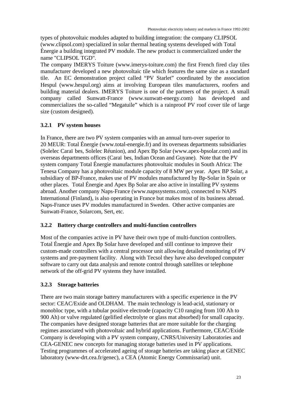types of photovoltaic modules adapted to building integration: the company CLIPSOL (www.clipsol.com) specialized in solar thermal heating systems developed with Total Énergie a building integrated PV module. The new product is commercialized under the name "CLIPSOL TGD".

The company IMERYS Toiture (www.imerys-toiture.com) the first French fired clay tiles manufacturer developed a new photovoltaic tile which features the same size as a standard tile. An EC demonstration project called "PV Starlet" coordinated by the association Hespul (www.hespul.org) aims at involving European tiles manufacturers, roofers and building material dealers. IMERYS Toiture is one of the partners of the project. A small company called Sunwatt-France (www.sunwatt-energy.com) has developed and commercializes the so-called "Megatuile" which is a rainproof PV roof cover tile of large size (custom designed).

#### **3.2.1 PV system houses**

In France, there are two PV system companies with an annual turn-over superior to 20 MEUR: Total Énergie (www.total-energie.fr) and its overseas departments subsidiaries (Solelec Caraï bes, Solelec Réunion), and Apex Bp Solar (www.apex-bpsolar.com) and its overseas departments offices (Caraï bes, Indian Ocean and Guyane). Note that the PV system company Total Énergie manufactures photovoltaic modules in South Africa: The Tenesa Company has a photovoltaic module capacity of 8 MW per year. Apex BP Solar, a subsidiary of BP-France, makes use of PV modules manufactured by Bp-Solar in Spain or other places. Total Énergie and Apex Bp Solar are also active in installing PV systems abroad. Another company Naps-France (www.napssystems.com), connected to NAPS International (Finland), is also operating in France but makes most of its business abroad. Naps-France uses PV modules manufactured in Sweden. Other active companies are Sunwatt-France, Solarcom, Sert, etc.

#### **3.2.2 Battery charge controllers and multi-function controllers**

Most of the companies active in PV have their own type of multi-function controllers. Total Énergie and Apex Bp Solar have developed and still continue to improve their custom-made controllers with a central processor unit allowing detailed monitoring of PV systems and pre-payment facility. Along with Tecsol they have also developed computer software to carry out data analysis and remote control through satellites or telephone network of the off-grid PV systems they have installed.

#### **3.2.3 Storage batteries**

There are two main storage battery manufacturers with a specific experience in the PV sector: CEAC/Exide and OLDHAM. The main technology is lead-acid, stationary or monobloc type, with a tubular positive electrode (capacity C10 ranging from 100 Ah to 900 Ah) or valve regulated (gelified electrolyte or glass mat absorbed) for small capacity. The companies have designed storage batteries that are more suitable for the charging regimes associated with photovoltaic and hybrid applications. Furthermore, CEAC/Exide Company is developing with a PV system company, CNRS/University Laboratories and CEA-GENEC new concepts for managing storage batteries used in PV applications. Testing programmes of accelerated ageing of storage batteries are taking place at GENEC laboratory (www-drt.cea.fr/genec), a CEA (Atomic Energy Commissariat) unit.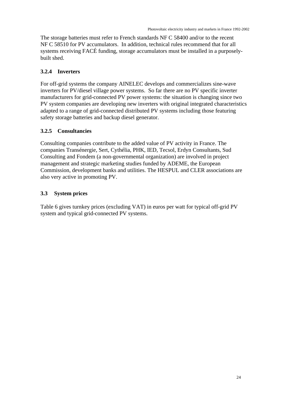The storage batteries must refer to French standards NF C 58400 and/or to the recent NF C 58510 for PV accumulators. In addition, technical rules recommend that for all systems receiving FACÉ funding, storage accumulators must be installed in a purposelybuilt shed.

#### **3.2.4 Inverters**

For off-grid systems the company AINELEC develops and commercializes sine-wave inverters for PV/diesel village power systems. So far there are no PV specific inverter manufacturers for grid-connected PV power systems: the situation is changing since two PV system companies are developing new inverters with original integrated characteristics adapted to a range of grid-connected distributed PV systems including those featuring safety storage batteries and backup diesel generator.

#### **3.2.5 Consultancies**

Consulting companies contribute to the added value of PV activity in France. The companies Transénergie, Sert, Cythélia, PHK, IED, Tecsol, Erdyn Consultants, Sud Consulting and Fondem (a non-governmental organization) are involved in project management and strategic marketing studies funded by ADEME, the European Commission, development banks and utilities. The HESPUL and CLER associations are also very active in promoting PV.

#### **3.3 System prices**

Table 6 gives turnkey prices (excluding VAT) in euros per watt for typical off-grid PV system and typical grid-connected PV systems.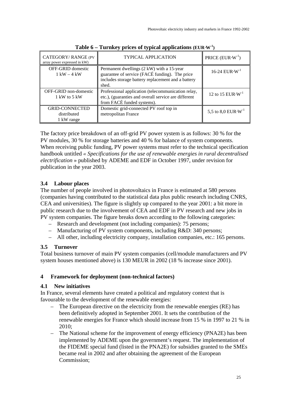| CATEGORY/RANGE (PV<br>array power expressed in kW) | <b>TYPICAL APPLICATION</b>                                                                                                                                 | PRICE $(EUR\cdot W^{-1})$              |
|----------------------------------------------------|------------------------------------------------------------------------------------------------------------------------------------------------------------|----------------------------------------|
| <b>OFF-GRID</b> domestic<br>$1$ kW $-4$ kW         | Permanent dwellings (2 kW) with a 15-year<br>guarantee of service (FACÉ funding). The price<br>includes storage battery replacement and a battery<br>shed. | $16-24$ EUR $\cdot$ W <sup>-1</sup>    |
| OFF-GRID non-domestic<br>1 kW to 5 kW              | Professional application (telecommunication relay,<br>etc.), (guaranties and overall service are different<br>from FACÉ funded systems).                   | 12 to 15 EUR $\cdot$ W <sup>-1</sup>   |
| <b>GRID-CONNECTED</b><br>distributed<br>1 kW range | Domestic grid-connected PV roof top in<br>metropolitan France                                                                                              | 5,5 to 8,0 EUR $\cdot$ W <sup>-1</sup> |

**Table 6 – Turnkey prices of typical applications (EUR**⋅**W-1 )**

The factory price breakdown of an off-grid PV power system is as follows: 30 % for the PV modules, 30 % for storage batteries and 40 % for balance of system components. When receiving public funding, PV power systems must refer to the technical specification handbook untitled *« Specifications for the use of renewable energies in rural decentralised electrification* » published by ADEME and EDF in October 1997, under revision for publication in the year 2003.

#### **3.4 Labour places**

The number of people involved in photovoltaics in France is estimated at 580 persons (companies having contributed to the statistical data plus public research including CNRS, CEA and universities). The figure is slightly up compared to the year 2001: a bit more in public research due to the involvement of CEA and EDF in PV research and new jobs in PV system companies. The figure breaks down according to the following categories:

- Research and development (not including companies): 75 persons;
- Manufacturing of PV system components, including R&D: 340 persons;
- All other, including electricity company, installation companies, etc.: 165 persons.

#### **3.5 Turnover**

Total business turnover of main PV system companies (cell/module manufacturers and PV system houses mentioned above) is 130 MEUR in 2002 (18 % increase since 2001).

#### **4 Framework for deployment (non-technical factors)**

#### **4.1 New initiatives**

In France, several elements have created a political and regulatory context that is favourable to the development of the renewable energies:

- The European directive on the electricity from the renewable energies (RE) has been definitively adopted in September 2001. It sets the contribution of the renewable energies for France which should increase from 15 % in 1997 to 21 % in 2010;
- The National scheme for the improvement of energy efficiency (PNA2E) has been implemented by ADEME upon the government's request. The implementation of the FIDEME special fund (listed in the PNA2E) for subsidies granted to the SMEs became real in 2002 and after obtaining the agreement of the European Commission;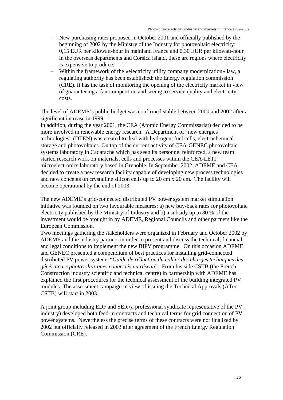- New purchasing rates proposed in October 2001 and officially published by the beginning of 2002 by the Ministry of the Industry for photovoltaic electricity: 0,15 EUR per kilowatt-hour in mainland France and 0,30 EUR per kilowatt-hour in the overseas departments and Corsica island, these are regions where electricity is expensive to produce;
- Within the framework of the «electricity utility company modernization» law, a regulating authority has been established: the Energy regulation commission (CRE). It has the task of monitoring the opening of the electricity market in view of guaranteeing a fair competition and seeing to service quality and electricity costs.

The level of ADEME's public budget was confirmed stable between 2000 and 2002 after a significant increase in 1999.

In addition, during the year 2001, the CEA (Atomic Energy Commissariat) decided to be more involved in renewable energy research. A Department of "new energies technologies" (DTEN) was created to deal with hydrogen, fuel cells, electrochemical storage and photovoltaics. On top of the current activity of CEA-GENEC photovoltaic systems laboratory in Cadarache which has seen its personnel reinforced, a new team started research work on materials, cells and processes within the CEA-LETI microelectronics laboratory based in Grenoble. In September 2002, ADEME and CEA decided to create a new research facility capable of developing new process technologies and new concepts on crystalline silicon cells up to 20 cm x 20 cm. The facility will become operational by the end of 2003.

The new ADEME's grid-connected distributed PV power system market stimulation initiative was founded on two favourable measures: a) new buy-back rates for photovoltaic electricity published by the Ministry of Industry and b) a subsidy up to 80 % of the investment would be brought in by ADEME, Regional Councils and other partners like the European Commission.

Two meetings gathering the stakeholders were organized in February and October 2002 by ADEME and the industry partners in order to present and discuss the technical, financial and legal conditions to implement the new BIPV programme. On this occasion ADEME and GENEC presented a compendium of best practices for installing grid-connected distributed PV power systems "*Guide de rédaction du cahier des charges techniques des générateurs photovoltaï ques connectés au réseau*". From his side CSTB (the French Construction industry scientific and technical centre) in partnership with ADEME has explained the first procedures for the technical assessment of the building integrated PV modules. The assessment campaign in view of issuing the Technical Approvals (ATec CSTB) will start in 2003.

A joint group including EDF and SER (a professional syndicate representative of the PV industry) developed both feed-in contracts and technical terms for grid connection of PV power systems. Nevertheless the precise terms of these contracts were not finalized by 2002 but officially released in 2003 after agreement of the French Energy Regulation Commission (CRE).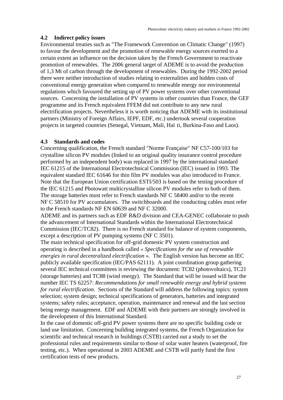#### **4.2 Indirect policy issues**

Environmental treaties such as "The Framework Convention on Climatic Change" (1997) to favour the development and the promotion of renewable energy sources exerted to a certain extent an influence on the decision taken by the French Government to reactivate promotion of renewables. The 2006 general target of ADEME is to avoid the production of 1,3 Mt of carbon through the development of renewables. During the 1992-2002 period there were neither introduction of studies relating to externalities and hidden costs of conventional energy generation when compared to renewable energy nor environmental regulations which favoured the setting up of PV power systems over other conventional sources. Concerning the installation of PV systems in other countries than France, the GEF programme and its French equivalent FFEM did not contribute to any new rural electrification projects. Nevertheless it is worth noticing that ADEME with its institutional partners (Ministry of Foreign Affairs, IEPF, EDF, etc.) undertook several cooperation projects in targeted countries (Senegal, Vietnam, Mali, Haï ti, Burkina-Faso and Laos).

#### **4.3 Standards and codes**

Concerning qualification, the French standard "Norme Française" NF C57-100/103 for crystalline silicon PV modules (linked to an original quality insurance control procedure performed by an independent body) was replaced in 1997 by the international standard IEC 61215 of the International Electrotechnical Commission (IEC) issued in 1993. The equivalent standard IEC 61646 for thin film PV modules was also introduced to France. Note that the European Union certification ESTI/503 is based on the testing procedure of the IEC 61215 and Photowatt multicrystalline silicon PV modules refer to both of them. The storage batteries must refer to French standards NF C 58400 and/or to the recent NF C 58510 for PV accumulators. The switchboards and the conducting cables must refer to the French standards NF EN 60639 and NF C 32000.

ADEME and its partners such as EDF R&D division and CEA-GENEC collaborate to push the advancement of International Standards within the International Electrotechnical Commission (IEC/TC82). There is no French standard for balance of system components, except a description of PV pumping systems (NF C 3501).

The main technical specification for off-grid domestic PV system construction and operating is described in a handbook called *« Specifications for the use of renewable energies in rural decentralized electrification* ». The English version has become an IEC publicly available specification (IEC/PAS 62111). A joint coordination group gathering several IEC technical committees is reviewing the document: TC82 (photovoltaics), TC21 (storage batteries) and TC88 (wind energy). The Standard that will be issued will bear the number IEC TS 62257: *Recommendations for small renewable energy and hybrid systems for rural electrification*. Sections of the Standard will address the following topics: system selection; system design; technical specifications of generators, batteries and integrated systems; safety rules; acceptance, operation, maintenance and renewal and the last section being energy management. EDF and ADEME with their partners are strongly involved in the development of this International Standard.

In the case of domestic off-grid PV power systems there are no specific building code or land use limitation. Concerning building integrated systems, the French Organization for scientific and technical research in buildings (CSTB) carried out a study to set the professional rules and requirements similar to those of solar water heaters (waterproof, fire testing, etc.). When operational in 2003 ADEME and CSTB will partly fund the first certification tests of new products.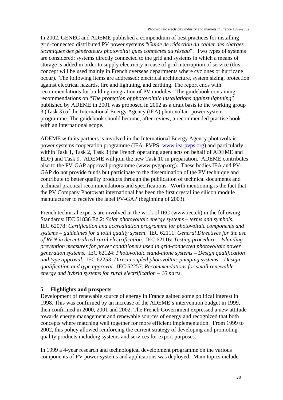In 2002, GENEC and ADEME published a compendium of best practices for installing grid-connected distributed PV power systems "*Guide de rédaction du cahier des charges techniques des générateurs photovoltaï ques connectés au réseau*". Two types of systems are considered: systems directly connected to the grid and systems in which a means of storage is added in order to supply electricity in case of grid interruption of service (this concept will be used mainly in French overseas departments where cyclones or hurricane occur). The following items are addressed: electrical architecture, system sizing, protection against electrical hazards, fire and lightning, and earthing. The report ends with recommendations for building integration of PV modules. The guidebook containing recommendations on "*The protection of photovoltaic installations against lightning*" published by ADEME in 2001 was proposed in 2002 as a draft basis to the working group 3 (Task 3) of the International Energy Agency (IEA) photovoltaic power system programme. The guidebook should become, after review, a recommended practise book with an international scope.

ADEME with its partners is involved in the International Energy Agency photovoltaic power systems cooperation programme (IEA–PVPS: www.iea-pvps.org) and particularly within Task 1, Task 2, Task 3 (the French operating agent acts on behalf of ADEME and EDF) and Task 9. ADEME will join the new Task 10 in preparation. ADEME contributes also to the PV-GAP approval programme (www.pvgap.org). These bodies IEA and PV-GAP do not provide funds but participate to the dissemination of the PV technique and contribute to better quality products through the publication of technical documents and technical practical recommendations and specifications. Worth mentioning is the fact that the PV Company Photowatt international has been the first crystalline silicon module manufacturer to receive the label PV-GAP (beginning of 2003).

French technical experts are involved in the work of IEC (www.iec.ch) in the following Standards: IEC 61836 Ed.2: *Solar photovoltaic energy systems – terms and symbols*. IEC 62078: *Certification and accreditation programme for photovoltaic components and systems – guidelines for a total quality system*. IEC 62111: *General Directives for the use of REN in decentralized rural electrification*. IEC 62116: *Testing procedure – Islanding prevention measures for power conditioners used in grid-connected photovoltaic power generation systems*. IEC 62124: *Photovoltaic stand-alone systems – Design qualification and type approval*. IEC 62253: *Direct coupled photovoltaic pumping systems – Design qualification and type approval*. IEC 62257: *Recommendations for small renewable energy and hybrid systems for rural electrification – 10 parts*.

#### **5 Highlights and prospects**

Development of renewable source of energy in France gained some political interest in 1998. This was confirmed by an increase of the ADEME's intervention budget in 1999, then confirmed in 2000, 2001 and 2002. The French Government expressed a new attitude towards energy management and renewable sources of energy and recognized that both concepts where matching well together for more efficient implementation. From 1999 to 2002, this policy allowed reinforcing the current strategy of developing and promoting quality products including systems and services for export purposes.

In 1999 a 4-year research and technological development programme on the various components of PV power systems and applications was deployed. Main topics include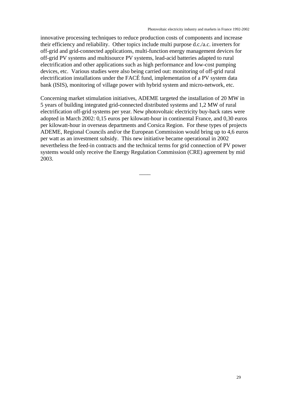innovative processing techniques to reduce production costs of components and increase their efficiency and reliability. Other topics include multi purpose d.c./a.c. inverters for off-grid and grid-connected applications, multi-function energy management devices for off-grid PV systems and multisource PV systems, lead-acid batteries adapted to rural electrification and other applications such as high performance and low-cost pumping devices, etc. Various studies were also being carried out: monitoring of off-grid rural electrification installations under the FACÉ fund, implementation of a PV system data bank (ISIS), monitoring of village power with hybrid system and micro-network, etc.

Concerning market stimulation initiatives, ADEME targeted the installation of 20 MW in 5 years of building integrated grid-connected distributed systems and 1,2 MW of rural electrification off-grid systems per year. New photovoltaic electricity buy-back rates were adopted in March 2002: 0,15 euros per kilowatt-hour in continental France, and 0,30 euros per kilowatt-hour in overseas departments and Corsica Region. For these types of projects ADEME, Regional Councils and/or the European Commission would bring up to 4,6 euros per watt as an investment subsidy. This new initiative became operational in 2002 nevertheless the feed-in contracts and the technical terms for grid connection of PV power systems would only receive the Energy Regulation Commission (CRE) agreement by mid 2003.

 $\overline{\phantom{a}}$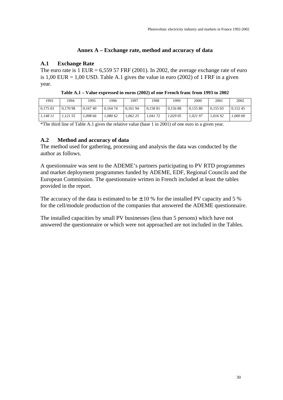#### **Annex A – Exchange rate, method and accuracy of data**

#### **A.1 Exchange Rate**

The euro rate is  $1$  EUR = 6,559 57 FRF (2001). In 2002, the average exchange rate of euro is  $1,00$  EUR = 1,00 USD. Table A.1 gives the value in euro (2002) of 1 FRF in a given year.

| 1993     | 1994     | 1995     | 1996     | 1997     | 1998     | 1999     | 2000     | 2001     | 2002     |
|----------|----------|----------|----------|----------|----------|----------|----------|----------|----------|
| 0,175 03 | 0.170 98 | 0.16749  | 0.164 74 | 0,161 94 | 0,158 81 | 0.15688  | 0.155 80 | 0.155 03 | 0.15245  |
| 1.148 11 | ,121 55  | 1.098 66 | 1.080 62 | 1.062 25 | 1.041 72 | 1.029 05 | 1,021 97 | 1.016 92 | 1,000 00 |

**Table A.1 – Value expressed in euros (2002) of one French franc from 1993 to 2002**

\*The third line of Table A.1 gives the relative value (base 1 in 2001) of one euro in a given year.

#### **A.2 Method and accuracy of data**

The method used for gathering, processing and analysis the data was conducted by the author as follows.

A questionnaire was sent to the ADEME's partners participating to PV RTD programmes and market deployment programmes funded by ADEME, EDF, Regional Councils and the European Commission. The questionnaire written in French included at least the tables provided in the report.

The accuracy of the data is estimated to be  $\pm$  10 % for the installed PV capacity and 5 % for the cell/module production of the companies that answered the ADEME questionnaire.

The installed capacities by small PV businesses (less than 5 persons) which have not answered the questionnaire or which were not approached are not included in the Tables.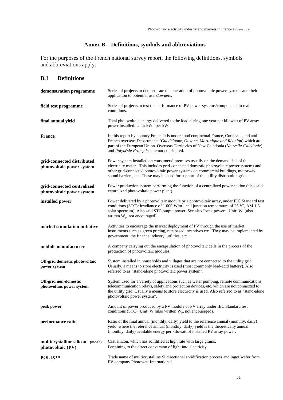## **Annex B – Definitions, symbols and abbreviations**

For the purposes of the French national survey report, the following definitions, symbols and abbreviations apply.

#### **B.1 Definitions**

| demonstration programme                                 | Series of projects to demonstrate the operation of photovoltaic power systems and their<br>application to potential users/owners.                                                                                                                                                                                                                       |  |  |  |
|---------------------------------------------------------|---------------------------------------------------------------------------------------------------------------------------------------------------------------------------------------------------------------------------------------------------------------------------------------------------------------------------------------------------------|--|--|--|
| field test programme                                    | Series of projects to test the performance of PV power systems/components in real<br>conditions.                                                                                                                                                                                                                                                        |  |  |  |
| final annual yield                                      | Total photovoltaic energy delivered to the load during one year per kilowatt of PV array<br>power installed. Unit: kWh per kW.                                                                                                                                                                                                                          |  |  |  |
| <b>France</b>                                           | In this report by country France it is understood continental France, Corsica Island and<br>French overseas Departments (Guadeloupe, Guyane, Martinique and Réunion) which are<br>part of the European Union. Overseas Territories of New Caledonia (Nouvelle-Calédonie)<br>and Polynésie Française are not considered.                                 |  |  |  |
| grid-connected distributed<br>photovoltaic power system | Power system installed on consumers' premises usually on the demand side of the<br>electricity meter. This includes grid-connected domestic photovoltaic power systems and<br>other grid-connected photovoltaic power systems on commercial buildings, motorway<br>sound barriers, etc. These may be used for support of the utility distribution grid. |  |  |  |
| grid-connected centralized<br>photovoltaic power system | Power production system performing the function of a centralized power station (also said<br>centralized photovoltaic power plant).                                                                                                                                                                                                                     |  |  |  |
| installed power                                         | Power delivered by a photovoltaic module or a photovoltaic array, under IEC Standard test<br>conditions (STC): irradiance of 1 000 W/m <sup>2</sup> , cell junction temperature of 25 °C, AM 1,5<br>solar spectrum). Also said STC output power. See also "peak power". Unit: W. (also<br>written $W_p$ , not encouraged).                              |  |  |  |
| market stimulation initiative                           | Activities to encourage the market deployment of PV through the use of market<br>instruments such as green pricing, rate based incentives etc. They may be implemented by<br>government, the finance industry, utilities, etc.                                                                                                                          |  |  |  |
| module manufacturer                                     | A company carrying out the encapsulation of photovoltaic cells in the process of the<br>production of photovoltaic modules.                                                                                                                                                                                                                             |  |  |  |
| Off-grid domestic photovoltaic<br>power system          | System installed in households and villages that are not connected to the utility grid.<br>Usually, a means to store electricity is used (most commonly lead-acid battery). Also<br>referred to as "stand-alone photovoltaic power system".                                                                                                             |  |  |  |
| Off-grid non-domestic<br>photovoltaic power system      | System used for a variety of applications such as water pumping, remote communications,<br>telecommunication relays, safety and protection devices, etc. which are not connected to<br>the utility grid. Usually a means to store electricity is used. Also referred to as "stand-alone<br>photovoltaic power system".                                  |  |  |  |
| peak power                                              | Amount of power produced by a PV module or PV array under IEC Standard test<br>conditions (STC). Unit: W (also written $W_p$ , not encouraged).                                                                                                                                                                                                         |  |  |  |
| performance ratio                                       | Ratio of the final annual (monthly, daily) yield to the reference annual (monthly, daily)<br>yield, where the reference annual (monthly, daily) yield is the theoretically annual<br>(monthly, daily) available energy per kilowatt of installed PV array power.                                                                                        |  |  |  |
| multicrystalline silicon (mc-Si)<br>photovoltaic (PV)   | Cast silicon, which has solidified at high rate with large grains.<br>Pertaining to the direct conversion of light into electricity.                                                                                                                                                                                                                    |  |  |  |
| <b>POLIXTM</b>                                          | Trade name of multicrystalline Si directional solidification process and ingot/wafer from<br>PV company Photowatt International.                                                                                                                                                                                                                        |  |  |  |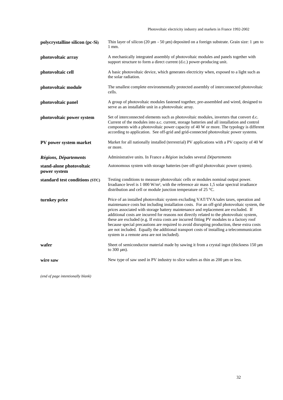Photovoltaic electricity industry and markets in France 1992-2002

| polycrystalline silicon (pc-Si)          | Thin layer of silicon (20 $\mu$ m - 50 $\mu$ m) deposited on a foreign substrate. Grain size: 1 $\mu$ m to<br>$1$ mm.                                                                                                                                                                                                                                                                                                                                                                                                                                                                                                                                                                                              |
|------------------------------------------|--------------------------------------------------------------------------------------------------------------------------------------------------------------------------------------------------------------------------------------------------------------------------------------------------------------------------------------------------------------------------------------------------------------------------------------------------------------------------------------------------------------------------------------------------------------------------------------------------------------------------------------------------------------------------------------------------------------------|
| photovoltaic array                       | A mechanically integrated assembly of photovoltaic modules and panels together with<br>support structure to form a direct current (d.c.) power-producing unit.                                                                                                                                                                                                                                                                                                                                                                                                                                                                                                                                                     |
| photovoltaic cell                        | A basic photovoltaic device, which generates electricity when, exposed to a light such as<br>the solar radiation.                                                                                                                                                                                                                                                                                                                                                                                                                                                                                                                                                                                                  |
| photovoltaic module                      | The smallest complete environmentally protected assembly of interconnected photovoltaic<br>cells.                                                                                                                                                                                                                                                                                                                                                                                                                                                                                                                                                                                                                  |
| photovoltaic panel                       | A group of photovoltaic modules fastened together, pre-assembled and wired, designed to<br>serve as an installable unit in a photovoltaic array.                                                                                                                                                                                                                                                                                                                                                                                                                                                                                                                                                                   |
| photovoltaic power system                | Set of interconnected elements such as photovoltaic modules, inverters that convert d.c.<br>Current of the modules into a.c. current, storage batteries and all installation and control<br>components with a photovoltaic power capacity of 40 W or more. The typology is different<br>according to application. See off-grid and grid-connected photovoltaic power systems.                                                                                                                                                                                                                                                                                                                                      |
| PV power system market                   | Market for all nationally installed (terrestrial) PV applications with a PV capacity of 40 W<br>or more.                                                                                                                                                                                                                                                                                                                                                                                                                                                                                                                                                                                                           |
| Régions, Départements                    | Administrative units. In France a Région includes several Départements                                                                                                                                                                                                                                                                                                                                                                                                                                                                                                                                                                                                                                             |
| stand-alone photovoltaic<br>power system | Autonomous system with storage batteries (see off-grid photovoltaic power system).                                                                                                                                                                                                                                                                                                                                                                                                                                                                                                                                                                                                                                 |
| standard test conditions (STC)           | Testing conditions to measure photovoltaic cells or modules nominal output power.<br>Irradiance level is 1 000 W/m <sup>2</sup> , with the reference air mass 1,5 solar spectral irradiance<br>distribution and cell or module junction temperature of 25 °C.                                                                                                                                                                                                                                                                                                                                                                                                                                                      |
| turnkey price                            | Price of an installed photovoltaic system excluding VAT/TVA/sales taxes, operation and<br>maintenance costs but including installation costs. For an off-grid photovoltaic system, the<br>prices associated with storage battery maintenance and replacement are excluded. If<br>additional costs are incurred for reasons not directly related to the photovoltaic system,<br>these are excluded (e.g. If extra costs are incurred fitting PV modules to a factory roof<br>because special precautions are required to avoid disrupting production, these extra costs<br>are not included. Equally the additional transport costs of installing a telecommunication<br>system in a remote area are not included). |
| wafer                                    | Sheet of semiconductor material made by sawing it from a crystal ingot (thickness 150 µm)<br>to $300 \mu m$ ).                                                                                                                                                                                                                                                                                                                                                                                                                                                                                                                                                                                                     |
| wire saw                                 | New type of saw used in PV industry to slice wafers as thin as 200 µm or less.                                                                                                                                                                                                                                                                                                                                                                                                                                                                                                                                                                                                                                     |
|                                          |                                                                                                                                                                                                                                                                                                                                                                                                                                                                                                                                                                                                                                                                                                                    |

*(end of page intentionally blank)*